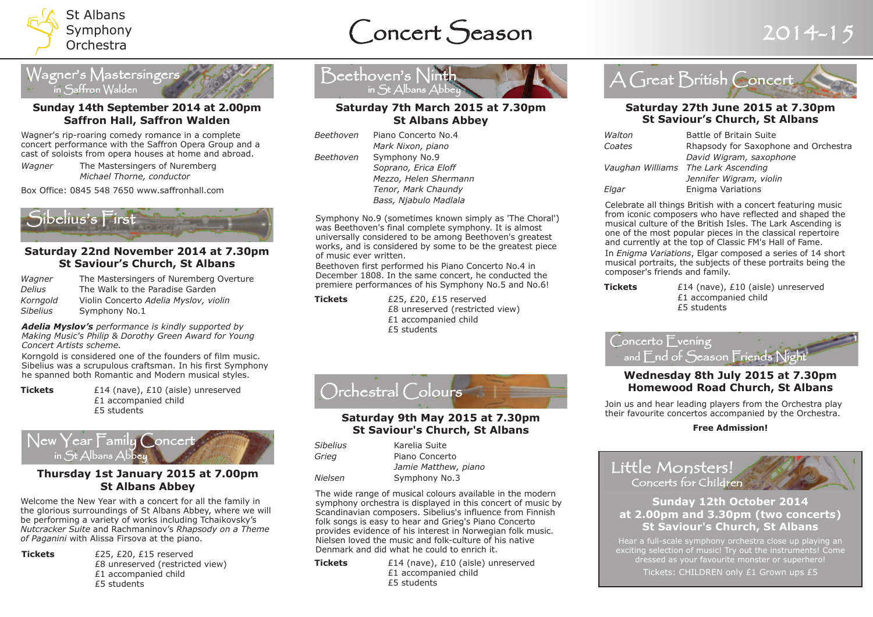

# Concert Season 2014-15



#### **Sunday 14th September 2014 at 2.00pm Saffron Hall, Saffron Walden**

Wagner's rip-roaring comedy romance in a complete concert performance with the Saffron Opera Group and a cast of soloists from opera houses at home and abroad.

*Wagner* The Mastersingers of Nuremberg *Michael Thorne, conductor*

Box Office: 0845 548 7650 www.saffronhall.com



#### **Saturday 22nd November 2014 at 7.30pm St Saviour's Church, St Albans**

| Wagner   | The Mastersingers of Nuremberg Overture |
|----------|-----------------------------------------|
| Delius   | The Walk to the Paradise Garden         |
| Korngold | Violin Concerto Adelia Myslov, violin   |
| Sibelius | Symphony No.1                           |

*Adelia Myslov's performance is kindly supported by Making Music's Philip & Dorothy Green Award for Young Concert Artists scheme.*

Korngold is considered one of the founders of film music. Sibelius was a scrupulous craftsman. In his first Symphony he spanned both Romantic and Modern musical styles.

**Tickets**  $£14$  (nave), £10 (aisle) unreserved £1 accompanied child £5 students



### **Thursday 1st January 2015 at 7.00pm St Albans Abbey**

Welcome the New Year with a concert for all the family in the glorious surroundings of St Albans Abbey, where we will be performing a variety of works including Tchaikovsky's *Nutcracker Suite* and Rachmaninov's *Rhapsody on a Theme of Paganini* with Alissa Firsova at the piano.

**Tickets** £25, £20, £15 reserved £8 unreserved (restricted view) £1 accompanied child £5 students



#### **Saturday 7th March 2015 at 7.30pm St Albans Abbey**

| Piano Concerto No.4   |
|-----------------------|
| Mark Nixon, piano     |
| Symphony No.9         |
| Soprano, Erica Eloff  |
| Mezzo, Helen Shermann |
| Tenor, Mark Chaundy   |
| Bass, Njabulo Madlala |
|                       |

Symphony No.9 (sometimes known simply as 'The Choral') was Beethoven's final complete symphony. It is almost universally considered to be among Beethoven's greatest works, and is considered by some to be the greatest piece of music ever written.

Beethoven first performed his Piano Concerto No.4 in December 1808. In the same concert, he conducted the premiere performances of his Symphony No.5 and No.6!

**Tickets** £25, £20, £15 reserved £8 unreserved (restricted view) £1 accompanied child £5 students



## **St Saviour's Church, St Albans**

| <b>Sibelius</b> | Karelia Suite        |
|-----------------|----------------------|
| Grieg           | Piano Concerto       |
|                 | Jamie Matthew, piano |
| Nielsen         | Symphony No.3        |

The wide range of musical colours available in the modern symphony orchestra is displayed in this concert of music by Scandinavian composers. Sibelius's influence from Finnish folk songs is easy to hear and Grieg's Piano Concerto provides evidence of his interest in Norwegian folk music. Nielsen loved the music and folk-culture of his native Denmark and did what he could to enrich it.

**Tickets**  $£14$  (nave), £10 (aisle) unreserved £1 accompanied child £5 students



#### **Saturday 27th June 2015 at 7.30pm St Saviour's Church, St Albans**

| Walton | Battle of Britain Suite              |
|--------|--------------------------------------|
| Coates | Rhapsody for Saxophone and Orchestra |
|        | David Wigram, saxophone              |
|        | Vaughan Williams The Lark Ascending  |
|        | Jennifer Wigram, violin              |
| Elgar  | Enigma Variations                    |
|        |                                      |

Celebrate all things British with a concert featuring music from iconic composers who have reflected and shaped the musical culture of the British Isles. The Lark Ascending is one of the most popular pieces in the classical repertoire and currently at the top of Classic FM's Hall of Fame. In *Enigma Variations*, Elgar composed a series of 14 short musical portraits, the subjects of these portraits being the composer's friends and family.

**Tickets**  $£14$  (nave), £10 (aisle) unreserved £1 accompanied child £5 students

Concerto Evening and End of Season Friends Night **Wednesday 8th July 2015 at 7.30pm**

## **Homewood Road Church, St Albans**

Join us and hear leading players from the Orchestra play their favourite concertos accompanied by the Orchestra.

#### **Free Admission!**

Little Monsters! Concerts for Children

### **Sunday 12th October 2014 at 2.00pm and 3.30pm (two concerts) St Saviour's Church, St Albans**

Hear a full-scale symphony orchestra close up playing an exciting selection of music! Try out the instruments! Come dressed as your favourite monster or superhero! Tickets: CHILDREN only £1 Grown ups £5